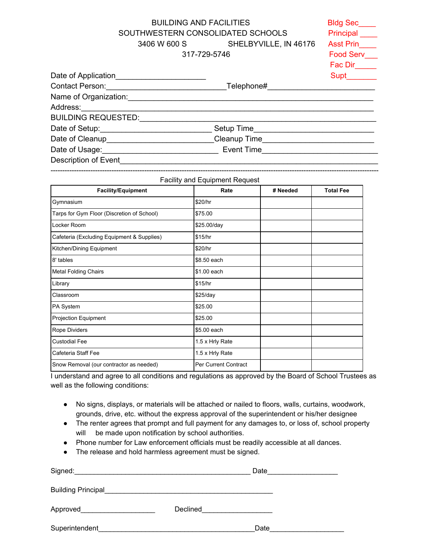BUILDING AND FACILITIES BIDG BROWS SOUTHWESTERN CONSOLIDATED SCHOOLS Principal 3406 W 600 S SHELBYVILLE, IN 46176 Asst Prin\_\_\_\_ 317-729-5746 Food Serv\_\_\_

|                                                   | <u>UII-ILU-UITU</u> | $1.000 \, \text{O}$ $\text{O}$ |  |
|---------------------------------------------------|---------------------|--------------------------------|--|
|                                                   |                     | Fac Dir                        |  |
| Date of Application____                           |                     |                                |  |
| <b>Contact Person: Contact Person:</b>            | Telephone#          |                                |  |
| Name of Organization: Change of Organization:     |                     |                                |  |
| Address:______________                            |                     |                                |  |
| BUILDING REQUESTED:                               |                     |                                |  |
| Date of Setup:______________                      | Setup Time          |                                |  |
| Date of Cleanup______________                     | Cleanup Time        |                                |  |
| Date of Usage: Date of Library and Date of Usage: | Event Time          |                                |  |
| Description of Event                              |                     |                                |  |
|                                                   |                     |                                |  |

--------------------------------------------------------------------------------------------------------------------------------------------

| <b>Facility and Equipment Request</b>      |                             |          |                  |  |  |
|--------------------------------------------|-----------------------------|----------|------------------|--|--|
| <b>Facility/Equipment</b>                  | Rate                        | # Needed | <b>Total Fee</b> |  |  |
| Gymnasium                                  | \$20/hr                     |          |                  |  |  |
| Tarps for Gym Floor (Discretion of School) | \$75.00                     |          |                  |  |  |
| Locker Room                                | \$25.00/day                 |          |                  |  |  |
| Cafeteria (Excluding Equipment & Supplies) | \$15/hr                     |          |                  |  |  |
| Kitchen/Dining Equipment                   | \$20/hr                     |          |                  |  |  |
| 8' tables                                  | \$8.50 each                 |          |                  |  |  |
| <b>Metal Folding Chairs</b>                | \$1.00 each                 |          |                  |  |  |
| Library                                    | \$15/hr                     |          |                  |  |  |
| Classroom                                  | $$25$ /day                  |          |                  |  |  |
| PA System                                  | \$25.00                     |          |                  |  |  |
| Projection Equipment                       | \$25.00                     |          |                  |  |  |
| Rope Dividers                              | \$5.00 each                 |          |                  |  |  |
| <b>Custodial Fee</b>                       | 1.5 x Hrly Rate             |          |                  |  |  |
| Cafeteria Staff Fee                        | 1.5 x Hrly Rate             |          |                  |  |  |
| Snow Removal (our contractor as needed)    | <b>Per Current Contract</b> |          |                  |  |  |

I understand and agree to all conditions and regulations as approved by the Board of School Trustees as well as the following conditions:

- No signs, displays, or materials will be attached or nailed to floors, walls, curtains, woodwork, grounds, drive, etc. without the express approval of the superintendent or his/her designee
- The renter agrees that prompt and full payment for any damages to, or loss of, school property will be made upon notification by school authorities.
- Phone number for Law enforcement officials must be readily accessible at all dances.
- The release and hold harmless agreement must be signed.

| Signed:                   |          | Date |
|---------------------------|----------|------|
| <b>Building Principal</b> |          |      |
| Approved____              | Declined |      |
| Superintendent            |          | Date |